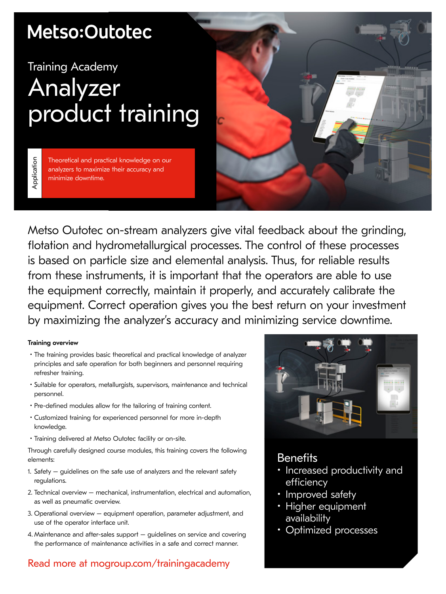## Metso:Outotec

# Training Academy Analyzer product training

Application Theoretical and practical knowledge on our analyzers to maximize their accuracy and minimize downtime.



Metso Outotec on-stream analyzers give vital feedback about the grinding, flotation and hydrometallurgical processes. The control of these processes is based on particle size and elemental analysis. Thus, for reliable results from these instruments, it is important that the operators are able to use the equipment correctly, maintain it properly, and accurately calibrate the equipment. Correct operation gives you the best return on your investment by maximizing the analyzer's accuracy and minimizing service downtime.

### Training overview

Application

- The training provides basic theoretical and practical knowledge of analyzer principles and safe operation for both beginners and personnel requiring refresher training.
- Suitable for operators, metallurgists, supervisors, maintenance and technical personnel.
- Pre-defined modules allow for the tailoring of training content.
- Customized training for experienced personnel for more in-depth knowledge.
- Training delivered at Metso Outotec facility or on-site.

Through carefully designed course modules, this training covers the following elements:

- 1. Safety guidelines on the safe use of analyzers and the relevant safety regulations.
- 2. Technical overview mechanical, instrumentation, electrical and automation, as well as pneumatic overview.
- 3. Operational overview equipment operation, parameter adjustment, and use of the operator interface unit.
- 4. Maintenance and after-sales support guidelines on service and covering the performance of maintenance activities in a safe and correct manner.

## Read more at mogroup.com/trainingacademy



## **Benefits**

- Increased productivity and efficiency
- Improved safety
- Higher equipment availability
- Optimized processes